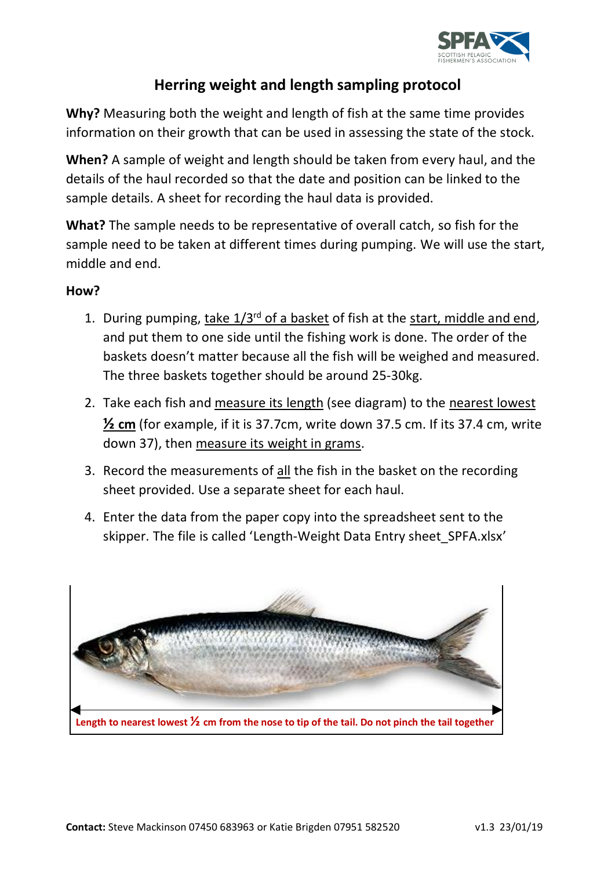

## **Herring weight and length sampling protocol**

**Why?** Measuring both the weight and length of fish at the same time provides information on their growth that can be used in assessing the state of the stock.

**When?** A sample of weight and length should be taken from every haul, and the details of the haul recorded so that the date and position can be linked to the sample details. A sheet for recording the haul data is provided.

**What?** The sample needs to be representative of overall catch, so fish for the sample need to be taken at different times during pumping. We will use the start, middle and end.

## **How?**

- 1. During pumping, take 1/3<sup>rd</sup> of a basket of fish at the start, middle and end, and put them to one side until the fishing work is done. The order of the baskets doesn't matter because all the fish will be weighed and measured. The three baskets together should be around 25-30kg.
- 2. Take each fish and measure its length (see diagram) to the nearest lowest **½ cm** (for example, if it is 37.7cm, write down 37.5 cm. If its 37.4 cm, write down 37), then measure its weight in grams.
- 3. Record the measurements of all the fish in the basket on the recording sheet provided. Use a separate sheet for each haul.
- 4. Enter the data from the paper copy into the spreadsheet sent to the skipper. The file is called 'Length-Weight Data Entry sheet\_SPFA.xlsx'